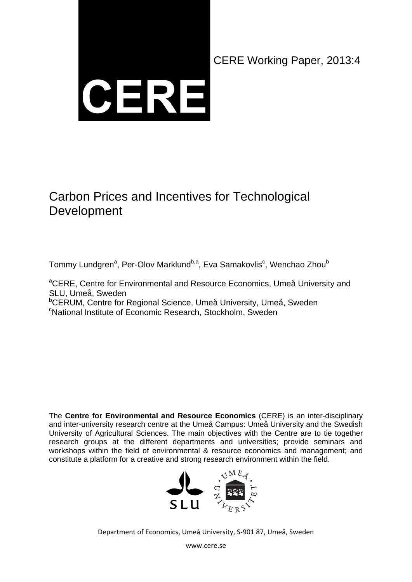CERE

CERE Working Paper, 2013:4

# Carbon Prices and Incentives for Technological Development

Tommy Lundgren<sup>a</sup>, Per-Olov Marklund<sup>b,a</sup>, Eva Samakovlis<sup>c</sup>, Wenchao Zhou<sup>b</sup>

<sup>a</sup>CERE, Centre for Environmental and Resource Economics, Umeå University and SLU, Umeå, Sweden <sup>b</sup>CERUM, Centre for Regional Science, Umeå University, Umeå, Sweden National Institute of Economic Research, Stockholm, Sweden

The **Centre for Environmental and Resource Economics** (CERE) is an inter-disciplinary and inter-university research centre at the Umeå Campus: Umeå University and the Swedish University of Agricultural Sciences. The main objectives with the Centre are to tie together research groups at the different departments and universities; provide seminars and workshops within the field of environmental & resource economics and management; and constitute a platform for a creative and strong research environment within the field.



Department of Economics, Umeå University, S‐901 87, Umeå, Sweden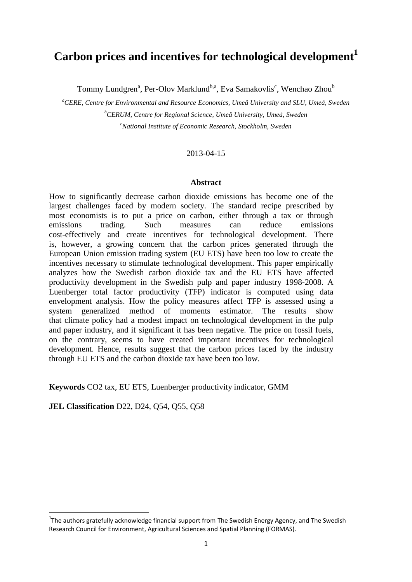# **Carbon prices and incentives for technological development<sup>1</sup>**

Tommy Lundgren<sup>a</sup>, Per-Olov Marklund<sup>b,a</sup>, Eva Samakovlis<sup>c</sup>, Wenchao Zhou<sup>b</sup>

*<sup>a</sup>CERE, Centre for Environmental and Resource Economics, Umeå University and SLU, Umeå, Sweden <sup>b</sup>CERUM, Centre for Regional Science, Umeå University, Umeå, Sweden <sup>c</sup>National Institute of Economic Research, Stockholm, Sweden*

#### 2013-04-15

#### **Abstract**

How to significantly decrease carbon dioxide emissions has become one of the largest challenges faced by modern society. The standard recipe prescribed by most economists is to put a price on carbon, either through a tax or through emissions trading. Such measures can reduce emissions cost-effectively and create incentives for technological development. There is, however, a growing concern that the carbon prices generated through the European Union emission trading system (EU ETS) have been too low to create the incentives necessary to stimulate technological development. This paper empirically analyzes how the Swedish carbon dioxide tax and the EU ETS have affected productivity development in the Swedish pulp and paper industry 1998-2008. A Luenberger total factor productivity (TFP) indicator is computed using data envelopment analysis. How the policy measures affect TFP is assessed using a system generalized method of moments estimator. The results show that climate policy had a modest impact on technological development in the pulp and paper industry, and if significant it has been negative. The price on fossil fuels, on the contrary, seems to have created important incentives for technological development. Hence, results suggest that the carbon prices faced by the industry through EU ETS and the carbon dioxide tax have been too low.

**Keywords** CO2 tax, EU ETS, Luenberger productivity indicator, GMM

**JEL Classification** D22, D24, Q54, Q55, Q58

1

<sup>&</sup>lt;sup>1</sup>The authors gratefully acknowledge financial support from The Swedish Energy Agency, and The Swedish Research Council for Environment, Agricultural Sciences and Spatial Planning (FORMAS).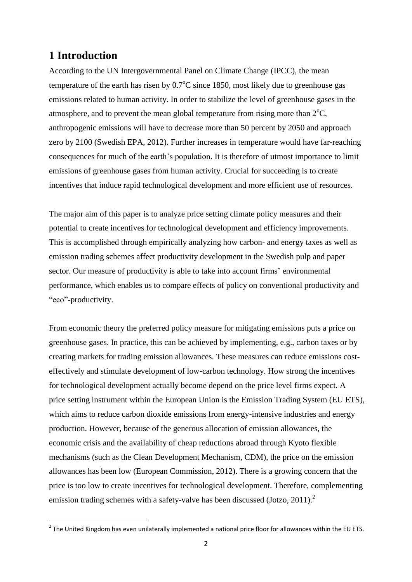## **1 Introduction**

According to the UN Intergovernmental Panel on Climate Change (IPCC), the mean temperature of the earth has risen by  $0.7^{\circ}$ C since 1850, most likely due to greenhouse gas emissions related to human activity. In order to stabilize the level of greenhouse gases in the atmosphere, and to prevent the mean global temperature from rising more than  $2^{\circ}C$ , anthropogenic emissions will have to decrease more than 50 percent by 2050 and approach zero by 2100 (Swedish EPA, 2012). Further increases in temperature would have far-reaching consequences for much of the earth's population. It is therefore of utmost importance to limit emissions of greenhouse gases from human activity. Crucial for succeeding is to create incentives that induce rapid technological development and more efficient use of resources.

The major aim of this paper is to analyze price setting climate policy measures and their potential to create incentives for technological development and efficiency improvements. This is accomplished through empirically analyzing how carbon- and energy taxes as well as emission trading schemes affect productivity development in the Swedish pulp and paper sector. Our measure of productivity is able to take into account firms' environmental performance, which enables us to compare effects of policy on conventional productivity and "eco"-productivity.

From economic theory the preferred policy measure for mitigating emissions puts a price on greenhouse gases. In practice, this can be achieved by implementing, e.g., carbon taxes or by creating markets for trading emission allowances. These measures can reduce emissions costeffectively and stimulate development of low-carbon technology. How strong the incentives for technological development actually become depend on the price level firms expect. A price setting instrument within the European Union is the Emission Trading System (EU ETS), which aims to reduce carbon dioxide emissions from energy-intensive industries and energy production. However, because of the generous allocation of emission allowances, the economic crisis and the availability of cheap reductions abroad through Kyoto flexible mechanisms (such as the Clean Development Mechanism, CDM), the price on the emission allowances has been low (European Commission, 2012). There is a growing concern that the price is too low to create incentives for technological development. Therefore, complementing emission trading schemes with a safety-valve has been discussed (Jotzo, 2011).<sup>2</sup>

 2 The United Kingdom has even unilaterally implemented a national price floor for allowances within the EU ETS.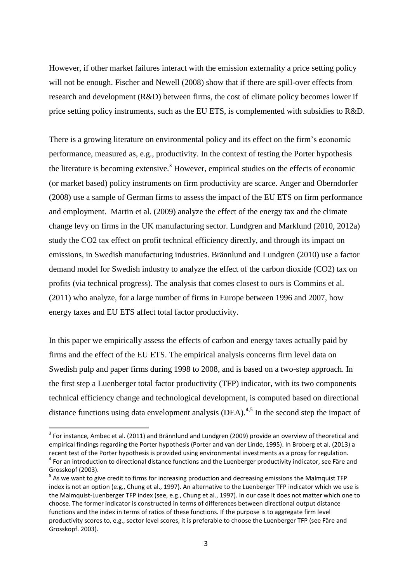However, if other market failures interact with the emission externality a price setting policy will not be enough. Fischer and Newell (2008) show that if there are spill-over effects from research and development (R&D) between firms, the cost of climate policy becomes lower if price setting policy instruments, such as the EU ETS, is complemented with subsidies to R&D.

There is a growing literature on environmental policy and its effect on the firm's economic performance, measured as, e.g., productivity. In the context of testing the Porter hypothesis the literature is becoming extensive.<sup>3</sup> However, empirical studies on the effects of economic (or market based) policy instruments on firm productivity are scarce. Anger and Oberndorfer (2008) use a sample of German firms to assess the impact of the EU ETS on firm performance and employment. Martin et al. (2009) analyze the effect of the energy tax and the climate change levy on firms in the UK manufacturing sector. Lundgren and Marklund (2010, 2012a) study the CO2 tax effect on profit technical efficiency directly, and through its impact on emissions, in Swedish manufacturing industries. Brännlund and Lundgren (2010) use a factor demand model for Swedish industry to analyze the effect of the carbon dioxide (CO2) tax on profits (via technical progress). The analysis that comes closest to ours is Commins et al. (2011) who analyze, for a large number of firms in Europe between 1996 and 2007, how energy taxes and EU ETS affect total factor productivity.

In this paper we empirically assess the effects of carbon and energy taxes actually paid by firms and the effect of the EU ETS. The empirical analysis concerns firm level data on Swedish pulp and paper firms during 1998 to 2008, and is based on a two-step approach. In the first step a Luenberger total factor productivity (TFP) indicator, with its two components technical efficiency change and technological development, is computed based on directional distance functions using data envelopment analysis (DEA).<sup>4,5</sup> In the second step the impact of

 3 For instance, Ambec et al. (2011) and Brännlund and Lundgren (2009) provide an overview of theoretical and empirical findings regarding the Porter hypothesis (Porter and van der Linde, 1995). In Broberg et al. (2013) a recent test of the Porter hypothesis is provided using environmental investments as a proxy for regulation. <sup>4</sup> For an introduction to directional distance functions and the Luenberger productivity indicator, see Färe and Grosskopf (2003).

<sup>&</sup>lt;sup>5</sup> As we want to give credit to firms for increasing production and decreasing emissions the Malmquist TFP index is not an option (e.g., Chung et al., 1997). An alternative to the Luenberger TFP indicator which we use is the Malmquist-Luenberger TFP index (see, e.g., Chung et al., 1997). In our case it does not matter which one to choose. The former indicator is constructed in terms of differences between directional output distance functions and the index in terms of ratios of these functions. If the purpose is to aggregate firm level productivity scores to, e.g., sector level scores, it is preferable to choose the Luenberger TFP (see Färe and Grosskopf. 2003).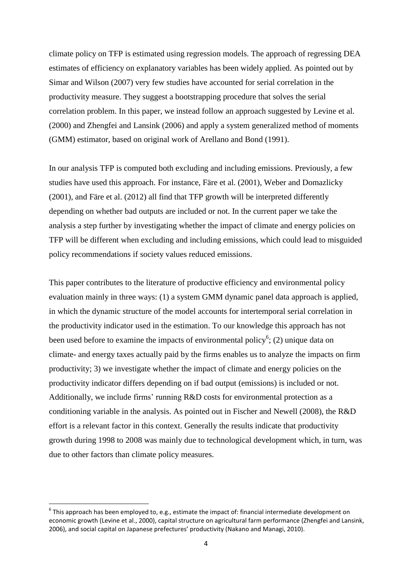climate policy on TFP is estimated using regression models. The approach of regressing DEA estimates of efficiency on explanatory variables has been widely applied. As pointed out by Simar and Wilson (2007) very few studies have accounted for serial correlation in the productivity measure. They suggest a bootstrapping procedure that solves the serial correlation problem. In this paper, we instead follow an approach suggested by Levine et al. (2000) and Zhengfei and Lansink (2006) and apply a system generalized method of moments (GMM) estimator, based on original work of Arellano and Bond (1991).

In our analysis TFP is computed both excluding and including emissions. Previously, a few studies have used this approach. For instance, Färe et al. (2001), Weber and Domazlicky (2001), and Färe et al. (2012) all find that TFP growth will be interpreted differently depending on whether bad outputs are included or not. In the current paper we take the analysis a step further by investigating whether the impact of climate and energy policies on TFP will be different when excluding and including emissions, which could lead to misguided policy recommendations if society values reduced emissions.

This paper contributes to the literature of productive efficiency and environmental policy evaluation mainly in three ways: (1) a system GMM dynamic panel data approach is applied, in which the dynamic structure of the model accounts for intertemporal serial correlation in the productivity indicator used in the estimation. To our knowledge this approach has not been used before to examine the impacts of environmental policy<sup>6</sup>; (2) unique data on climate- and energy taxes actually paid by the firms enables us to analyze the impacts on firm productivity; 3) we investigate whether the impact of climate and energy policies on the productivity indicator differs depending on if bad output (emissions) is included or not. Additionally, we include firms' running R&D costs for environmental protection as a conditioning variable in the analysis. As pointed out in Fischer and Newell (2008), the R&D effort is a relevant factor in this context. Generally the results indicate that productivity growth during 1998 to 2008 was mainly due to technological development which, in turn, was due to other factors than climate policy measures.

 $^6$  This approach has been employed to, e.g., estimate the impact of: financial intermediate development on economic growth (Levine et al., 2000), capital structure on agricultural farm performance (Zhengfei and Lansink, 2006), and social capital on Japanese prefectures' productivity (Nakano and Managi, 2010).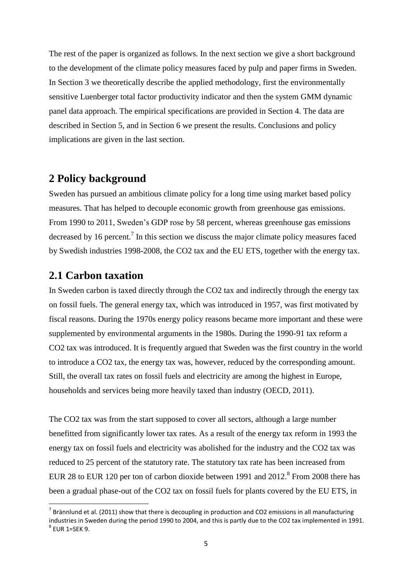The rest of the paper is organized as follows. In the next section we give a short background to the development of the climate policy measures faced by pulp and paper firms in Sweden. In Section 3 we theoretically describe the applied methodology, first the environmentally sensitive Luenberger total factor productivity indicator and then the system GMM dynamic panel data approach. The empirical specifications are provided in Section 4. The data are described in Section 5, and in Section 6 we present the results. Conclusions and policy implications are given in the last section.

## **2 Policy background**

Sweden has pursued an ambitious climate policy for a long time using market based policy measures. That has helped to decouple economic growth from greenhouse gas emissions. From 1990 to 2011, Sweden's GDP rose by 58 percent, whereas greenhouse gas emissions decreased by 16 percent.<sup>7</sup> In this section we discuss the major climate policy measures faced by Swedish industries 1998-2008, the CO2 tax and the EU ETS, together with the energy tax.

## **2.1 Carbon taxation**

**.** 

In Sweden carbon is taxed directly through the CO2 tax and indirectly through the energy tax on fossil fuels. The general energy tax, which was introduced in 1957, was first motivated by fiscal reasons. During the 1970s energy policy reasons became more important and these were supplemented by environmental arguments in the 1980s. During the 1990-91 tax reform a CO2 tax was introduced. It is frequently argued that Sweden was the first country in the world to introduce a CO2 tax, the energy tax was, however, reduced by the corresponding amount. Still, the overall tax rates on fossil fuels and electricity are among the highest in Europe, households and services being more heavily taxed than industry (OECD, 2011).

The CO2 tax was from the start supposed to cover all sectors, although a large number benefitted from significantly lower tax rates. As a result of the energy tax reform in 1993 the energy tax on fossil fuels and electricity was abolished for the industry and the CO2 tax was reduced to 25 percent of the statutory rate. The statutory tax rate has been increased from EUR 28 to EUR 120 per ton of carbon dioxide between 1991 and  $2012$ .<sup>8</sup> From 2008 there has been a gradual phase-out of the CO2 tax on fossil fuels for plants covered by the EU ETS, in

 $^7$  Brännlund et al. (2011) show that there is decoupling in production and CO2 emissions in all manufacturing industries in Sweden during the period 1990 to 2004, and this is partly due to the CO2 tax implemented in 1991.  $8$  EUR 1=SEK 9.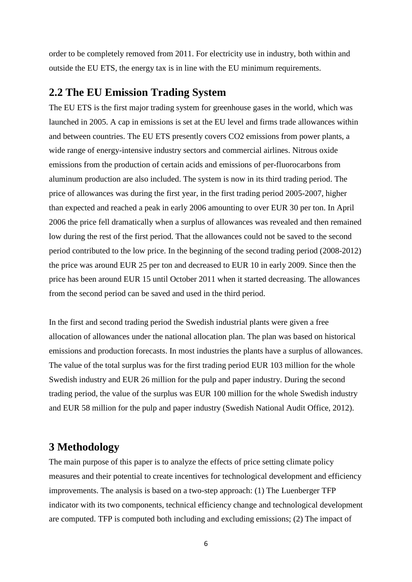order to be completely removed from 2011. For electricity use in industry, both within and outside the EU ETS, the energy tax is in line with the EU minimum requirements.

## **2.2 The EU Emission Trading System**

The EU ETS is the first major trading system for greenhouse gases in the world, which was launched in 2005. A cap in emissions is set at the EU level and firms trade allowances within and between countries. The EU ETS presently covers CO2 emissions from power plants, a wide range of energy-intensive industry sectors and commercial airlines. Nitrous oxide emissions from the production of certain acids and emissions of per-fluorocarbons from aluminum production are also included. The system is now in its third trading period. The price of allowances was during the first year, in the first trading period 2005-2007, higher than expected and reached a peak in early 2006 amounting to over EUR 30 per ton. In April 2006 the price fell dramatically when a surplus of allowances was revealed and then remained low during the rest of the first period. That the allowances could not be saved to the second period contributed to the low price. In the beginning of the second trading period (2008-2012) the price was around EUR 25 per ton and decreased to EUR 10 in early 2009. Since then the price has been around EUR 15 until October 2011 when it started decreasing. The allowances from the second period can be saved and used in the third period.

In the first and second trading period the Swedish industrial plants were given a free allocation of allowances under the national allocation plan. The plan was based on historical emissions and production forecasts. In most industries the plants have a surplus of allowances. The value of the total surplus was for the first trading period EUR 103 million for the whole Swedish industry and EUR 26 million for the pulp and paper industry. During the second trading period, the value of the surplus was EUR 100 million for the whole Swedish industry and EUR 58 million for the pulp and paper industry (Swedish National Audit Office, 2012).

## **3 Methodology**

The main purpose of this paper is to analyze the effects of price setting climate policy measures and their potential to create incentives for technological development and efficiency improvements. The analysis is based on a two-step approach: (1) The Luenberger TFP indicator with its two components, technical efficiency change and technological development are computed. TFP is computed both including and excluding emissions; (2) The impact of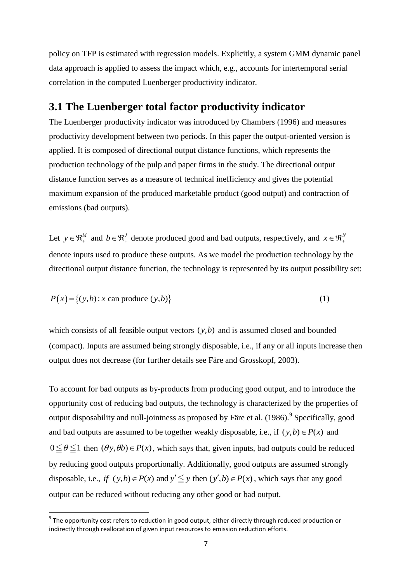policy on TFP is estimated with regression models. Explicitly, a system GMM dynamic panel data approach is applied to assess the impact which, e.g., accounts for intertemporal serial correlation in the computed Luenberger productivity indicator.

## **3.1 The Luenberger total factor productivity indicator**

The Luenberger productivity indicator was introduced by Chambers (1996) and measures productivity development between two periods. In this paper the output-oriented version is applied. It is composed of directional output distance functions, which represents the production technology of the pulp and paper firms in the study. The directional output distance function serves as a measure of technical inefficiency and gives the potential maximum expansion of the produced marketable product (good output) and contraction of emissions (bad outputs).

Let  $y \in \mathbb{R}^M_+$  and  $b \in \mathbb{R}^J_+$  denote produced good and bad outputs, respectively, and  $x \in \mathbb{R}^N_+$ denote inputs used to produce these outputs. As we model the production technology by the directional output distance function, the technology is represented by its output possibility set:

$$
P(x) = \{(y,b) : x \text{ can produce } (y,b)\}\
$$
 (1)

which consists of all feasible output vectors  $(y, b)$  and is assumed closed and bounded (compact). Inputs are assumed being strongly disposable, i.e., if any or all inputs increase then output does not decrease (for further details see Färe and Grosskopf, 2003).

To account for bad outputs as by-products from producing good output, and to introduce the opportunity cost of reducing bad outputs, the technology is characterized by the properties of output disposability and null-jointness as proposed by Färe et al. (1986). <sup>9</sup> Specifically, good and bad outputs are assumed to be together weakly disposable, i.e., if  $(y,b) \in P(x)$  and  $0 \le \theta \le 1$  then  $(\theta y, \theta b) \in P(x)$ , which says that, given inputs, bad outputs could be reduced by reducing good outputs proportionally. Additionally, good outputs are assumed strongly by reducing good outputs proportionally. Additionally, good outputs are assumed strongl<br>disposable, i.e., *if*  $(y,b) \in P(x)$  and  $y' \leq y$  then  $(y',b) \in P(x)$ , which says that any good output can be reduced without reducing any other good or bad output.

1

 $^9$  The opportunity cost refers to reduction in good output, either directly through reduced production or indirectly through reallocation of given input resources to emission reduction efforts.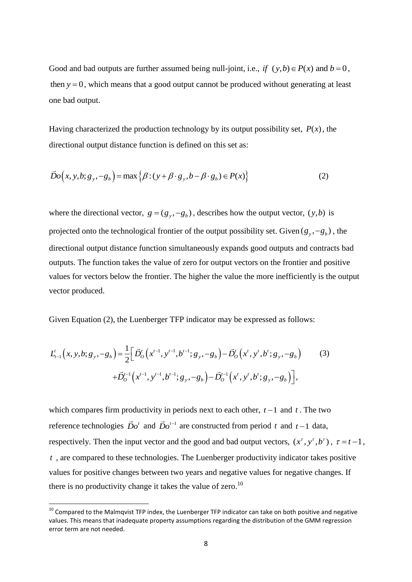Good and bad outputs are further assumed being null-joint, i.e., *if*  $(y,b) \in P(x)$  and  $b = 0$ , then  $y = 0$ , which means that a good output cannot be produced without generating at least one bad output.

Having characterized the production technology by its output possibility set,  $P(x)$ , the directional output distance function is defined on this set as:

$$
\vec{D}o(x, y, b; g_y, -g_b) = \max \{ \beta : (y + \beta \cdot g_y, b - \beta \cdot g_b) \in P(x) \}
$$
(2)

where the directional vector,  $g = (g_y, -g_b)$ , describes how the output vector,  $(y, b)$  is projected onto the technological frontier of the output possibility set. Given  $(g_y, -g_b)$ , the directional output distance function simultaneously expands good outputs and contracts bad outputs. The function takes the value of zero for output vectors on the frontier and positive values for vectors below the frontier. The higher the value the more inefficiently is the output vector produced.

Given Equation (2), the Luenberger TFP indicator may be expressed as follows:

Given Equation (2), the Lachotiger 111 induced by the expression as follows.

\n
$$
L_{t-1}^{t}(x, y, b; g_y, -g_b) = \frac{1}{2} \Big[ \vec{D}_0^{t}(x^{t-1}, y^{t-1}, b^{t-1}; g_y, -g_b) - \vec{D}_0^{t}(x^{t}, y^{t}, b^{t}; g_y, -g_b) - \vec{D}_0^{t-1}(x^{t}, y^{t}, b^{t}; g_y, -g_b) \Big],
$$
\n(3)

\n
$$
+ \vec{D}_0^{t-1}(x^{t-1}, y^{t-1}, b^{t-1}; g_y, -g_b) - \vec{D}_0^{t-1}(x^{t}, y^{t}, b^{t}; g_y, -g_b) \Big],
$$

which compares firm productivity in periods next to each other,  $t-1$  and  $t$ . The two reference technologies  $\vec{D}o^t$  and  $\vec{D}o^{t-1}$  are constructed from period t and  $t-1$  data, respectively. Then the input vector and the good and bad output vectors,  $(x^{\tau}, y^{\tau}, b^{\tau})$ ,  $\tau = t - 1$ , *t* , are compared to these technologies. The Luenberger productivity indicator takes positive values for positive changes between two years and negative values for negative changes. If there is no productivity change it takes the value of zero.<sup>10</sup>

 $10$  Compared to the Malmqvist TFP index, the Luenberger TFP indicator can take on both positive and negative values. This means that inadequate property assumptions regarding the distribution of the GMM regression error term are not needed.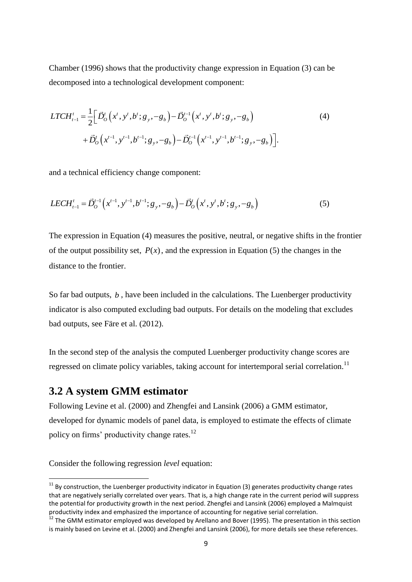Chamber (1996) shows that the productivity change expression in Equation (3) can be decomposed into a technological development component:

$$
LTCH_{t-1}^{t} = \frac{1}{2} \Big[ \vec{D}_{O}^{t} \Big( x^{t}, y^{t}, b^{t}; g_{y}, -g_{b} \Big) - \vec{D}_{O}^{t-1} \Big( x^{t}, y^{t}, b^{t}; g_{y}, -g_{b} \Big) + \vec{D}_{O}^{t} \Big( x^{t-1}, y^{t-1}, b^{t-1}; g_{y}, -g_{b} \Big) - \vec{D}_{O}^{t-1} \Big( x^{t-1}, y^{t-1}, b^{t-1}; g_{y}, -g_{b} \Big) \Big].
$$
 (4)

and a technical efficiency change component:

$$
LECH_{t-1}^{t} = \vec{D}_{O}^{t-1} \left( x^{t-1}, y^{t-1}, b^{t-1}; g_{y}, -g_{b} \right) - \vec{D}_{O}^{t} \left( x^{t}, y^{t}, b^{t}; g_{y}, -g_{b} \right)
$$
(5)

The expression in Equation (4) measures the positive, neutral, or negative shifts in the frontier of the output possibility set,  $P(x)$ , and the expression in Equation (5) the changes in the distance to the frontier.

So far bad outputs, *b*, have been included in the calculations. The Luenberger productivity indicator is also computed excluding bad outputs. For details on the modeling that excludes bad outputs, see Färe et al. (2012).

In the second step of the analysis the computed Luenberger productivity change scores are regressed on climate policy variables, taking account for intertemporal serial correlation.<sup>11</sup>

#### **3.2 A system GMM estimator**

Following Levine et al. (2000) and Zhengfei and Lansink (2006) a GMM estimator, developed for dynamic models of panel data, is employed to estimate the effects of climate policy on firms' productivity change rates.<sup>12</sup>

Consider the following regression *level* equation:

 $11$  By construction, the Luenberger productivity indicator in Equation (3) generates productivity change rates that are negatively serially correlated over years. That is, a high change rate in the current period will suppress the potential for productivity growth in the next period. Zhengfei and Lansink (2006) employed a Malmquist productivity index and emphasized the importance of accounting for negative serial correlation.

<sup>&</sup>lt;sup>12</sup> The GMM estimator employed was developed by Arellano and Bover (1995). The presentation in this section is mainly based on Levine et al. (2000) and Zhengfei and Lansink (2006), for more details see these references.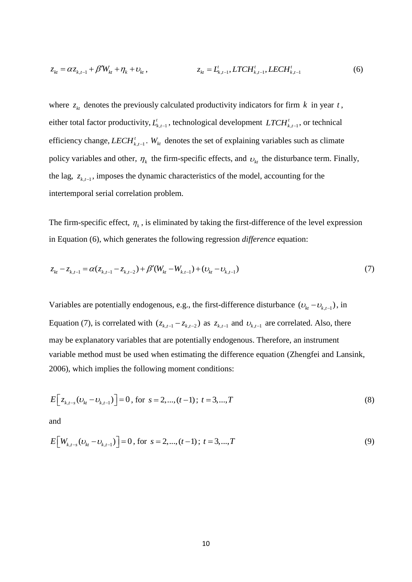$$
z_{kt} = \alpha z_{k,t-1} + \beta' W_{kt} + \eta_k + v_{kt}, \qquad z_{kt} = L_{k,t-1}^t, LTCH_{k,t-1}^t, LECH_{k,t-1}^t
$$
(6)

where  $z_{kt}$  denotes the previously calculated productivity indicators for firm  $k$  in year  $t$ , either total factor productivity,  $L_{k,t-1}^t$ , technological development  $LTCH_{k,t-1}^t$ *LTCH*<sup>*t*</sup><sub>*k*,*t*-1</sub></sub>, or technical efficiency change,  $LECH_{k,t-1}^t$ *LECH*<sup>*t*</sup><sub>*k*</sub>*t*<sub>-1</sub></sub>. *W*<sub>*kt*</sub> denotes the set of explaining variables such as climate policy variables and other,  $\eta_k$  the firm-specific effects, and  $v_{kt}$  the disturbance term. Finally, the lag,  $z_{k,t-1}$ , imposes the dynamic characteristics of the model, accounting for the intertemporal serial correlation problem.

The firm-specific effect,  $\eta_k$ , is eliminated by taking the first-difference of the level expression in Equation (6), which generates the following regression *difference* equation:

$$
z_{kt} - z_{k,t-1} = \alpha (z_{k,t-1} - z_{k,t-2}) + \beta'(W_{kt} - W_{k,t-1}) + (v_{kt} - v_{k,t-1})
$$
\n(7)

Variables are potentially endogenous, e.g., the first-difference disturbance  $(v_{k} - v_{k,t-1})$ , in Equation (7), is correlated with  $(z_{k,t-1} - z_{k,t-2})$  as  $z_{k,t-1}$  and  $v_{k,t-1}$  are correlated. Also, there may be explanatory variables that are potentially endogenous. Therefore, an instrument variable method must be used when estimating the difference equation (Zhengfei and Lansink, 2006), which implies the following moment conditions:

$$
E\left[z_{k,t-s}(v_{kt}-v_{k,t-1})\right] = 0, \text{ for } s = 2,...,(t-1); t = 3,...,T
$$
\n(8)

and

$$
E[W_{k,t-s}(v_{kt}-v_{k,t-1})]=0, \text{ for } s=2,...,(t-1); t=3,...,T
$$
\n(9)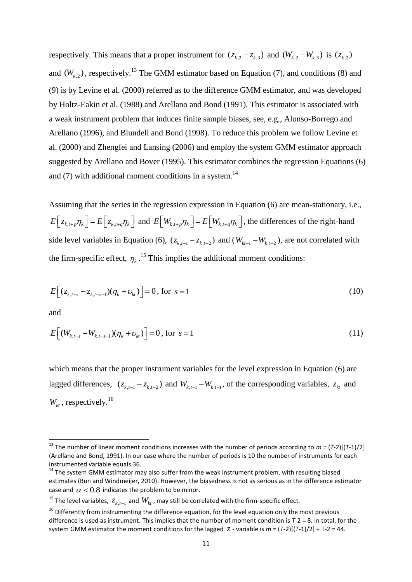respectively. This means that a proper instrument for  $(z_{k,2} - z_{k,3})$  and  $(W_{k,2} - W_{k,3})$  is  $(z_{k,2})$ and  $(W_{k,2})$ , respectively.<sup>13</sup> The GMM estimator based on Equation (7), and conditions (8) and (9) is by Levine et al. (2000) referred as to the difference GMM estimator, and was developed by Holtz-Eakin et al. (1988) and Arellano and Bond (1991). This estimator is associated with a weak instrument problem that induces finite sample biases, see, e.g., Alonso-Borrego and Arellano (1996), and Blundell and Bond (1998). To reduce this problem we follow Levine et al. (2000) and Zhengfei and Lansing (2006) and employ the system GMM estimator approach suggested by Arellano and Bover (1995). This estimator combines the regression Equations (6) and  $(7)$  with additional moment conditions in a system.<sup>14</sup>

Assuming that the series in the regression expression in Equation (6) are mean-stationary, i.e.,  $E\left[z_{k,t+p}\eta_k\right] = E\left[z_{k,t+q}\eta_k\right]$  and  $E\left[W_{k,t+p}\eta_k\right] = E\left[W_{k,t+q}\eta_k\right]$ , the differences of the right-hand side level variables in Equation (6),  $(z_{k,t-1} - z_{k,t-2})$  and  $(W_{kt-1} - W_{k,t-2})$ , are not correlated with the firm-specific effect,  $\eta_k$ .<sup>15</sup> This implies the additional moment conditions:

$$
E[(z_{k,t-s} - z_{k,t-s-1})(\eta_k + \nu_k)] = 0, \text{ for } s = 1
$$
\n(10)

and

**.** 

$$
E[(W_{k,t-s}-W_{k,t-s-1})(\eta_k+\nu_k)] = 0, \text{ for } s=1
$$
\n(11)

which means that the proper instrument variables for the level expression in Equation (6) are lagged differences,  $(z_{k,t-1} - z_{k,t-2})$  and  $W_{k,t-1} - W_{k,t-1}$ , of the corresponding variables,  $z_{kt}$  and  $W_{kt}$ , respectively.<sup>16</sup>

<sup>13</sup> The number of linear moment conditions increases with the number of periods according to *m* = (*T*-2)[(*T*-1)/2] (Arellano and Bond, 1991). In our case where the number of periods is 10 the number of instruments for each instrumented variable equals 36.

 $14$  The system GMM estimator may also suffer from the weak instrument problem, with resulting biased estimates (Bun and Windmeijer, 2010). However, the biasedness is not as serious as in the difference estimator case and  $\alpha$  < 0.8 indicates the problem to be minor.

<sup>&</sup>lt;sup>15</sup> The level variables,  $z_{k,t-1}$  and  $W_{kt}$  , may still be correlated with the firm-specific effect.

 $16$  Differently from instrumenting the difference equation, for the level equation only the most previous difference is used as instrument. This implies that the number of moment condition is *T*-2 = 8. In total, for the system GMM estimator the moment conditions for the lagged  $\zeta$  - variable is  $m = (T-2)[(T-1)/2] + T-2 = 44$ .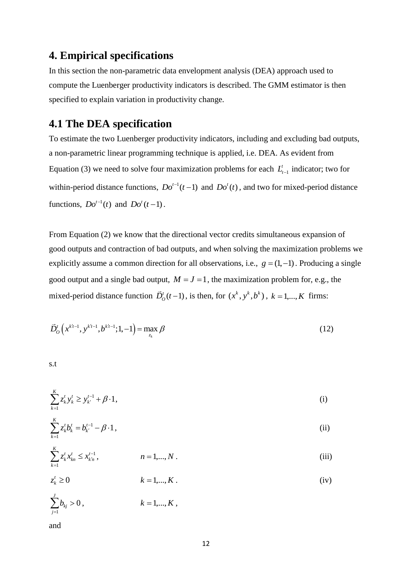## **4. Empirical specifications**

In this section the non-parametric data envelopment analysis (DEA) approach used to compute the Luenberger productivity indicators is described. The GMM estimator is then specified to explain variation in productivity change.

## **4.1 The DEA specification**

To estimate the two Luenberger productivity indicators, including and excluding bad outputs, a non-parametric linear programming technique is applied, i.e. DEA. As evident from Equation (3) we need to solve four maximization problems for each  $L_{t-1}$ <sup>t</sup>  $L_{t-1}$  indicator; two for within-period distance functions,  $Do^{t-1}(t-1)$  and  $Do^{t}(t)$ , and two for mixed-period distance functions,  $Do^{t-1}(t)$  and  $Do^{t}(t-1)$ .

From Equation (2) we know that the directional vector credits simultaneous expansion of good outputs and contraction of bad outputs, and when solving the maximization problems we explicitly assume a common direction for all observations, i.e.,  $g = (1, -1)$ . Producing a single good output and a single bad output,  $M = J = 1$ , the maximization problem for, e.g., the mixed-period distance function  $\vec{D}_0^t(t-1)$ , is then, for  $(x^k, y^k, b^k)$ ,  $k = 1, ..., K$  firms:

$$
\vec{D}_O^t\left(x^{k't-1}, y^{k't-1}, b^{k't-1}; 1, -1\right) = \max_{z_k} \beta \tag{12}
$$

s.t

$$
\sum_{k=1}^{K} z_k^t y_k^t \ge y_{k'}^{t-1} + \beta \cdot 1,\tag{i}
$$

$$
\sum_{k=1}^{K} z_k^t b_k^t = b_{k'}^{t-1} - \beta \cdot 1, \qquad (ii)
$$

$$
\sum_{k=1}^{K} z_k^t x_{kn}^t \le x_{k'n}^{t-1}, \qquad n = 1,...,N \,.
$$
 (iii)

$$
z_k^t \ge 0 \qquad k = 1, \dots, K \tag{iv}
$$

$$
\sum_{j=1} b_{kj} > 0, \qquad k = 1,...,K,
$$

and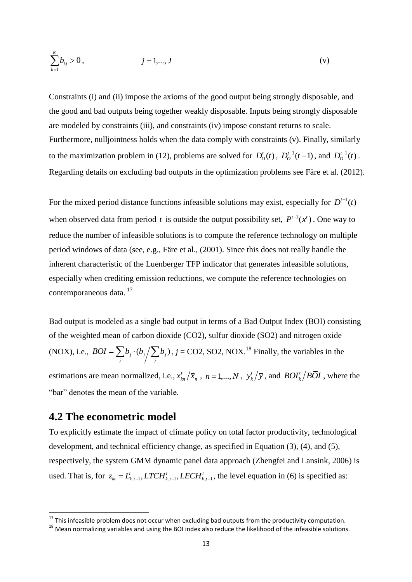$$
\sum_{k=1}^{K} b_{kj} > 0, \qquad j = 1,...,J
$$
 (v)

Constraints (i) and (ii) impose the axioms of the good output being strongly disposable, and the good and bad outputs being together weakly disposable. Inputs being strongly disposable are modeled by constraints (iii), and constraints (iv) impose constant returns to scale. Furthermore, nulljointness holds when the data comply with constraints (v). Finally, similarly to the maximization problem in (12), problems are solved for  $D_0^t(t)$ ,  $D_0^{t-1}(t-1)$ , and  $D_0^{t-1}(t)$ . Regarding details on excluding bad outputs in the optimization problems see Färe et al. (2012).

For the mixed period distance functions infeasible solutions may exist, especially for  $D^{t-1}(t)$ when observed data from period t is outside the output possibility set,  $P^{t-1}(x^t)$ . One way to reduce the number of infeasible solutions is to compute the reference technology on multiple period windows of data (see, e.g., Färe et al., (2001). Since this does not really handle the inherent characteristic of the Luenberger TFP indicator that generates infeasible solutions, especially when crediting emission reductions, we compute the reference technologies on contemporaneous data.<sup>17</sup>

Bad output is modeled as a single bad output in terms of a Bad Output Index (BOI) consisting of the weighted mean of carbon dioxide (CO2), sulfur dioxide (SO2) and nitrogen oxide (NOX), i.e.,  $BOI = \sum b_j \cdot (b_j / \sum b_j)$  $BOI = \sum_{j} b_j \cdot (b_j / \sum_{j} b_j)$ ,  $j = CO2$ , SO2, NOX.<sup>18</sup> Finally, the variables in the estimations are mean normalized, i.e.,  $x_{kn}^t/\overline{x}_n$  $x_{kn}^t / \bar{x}_n$ ,  $n = 1,...,N$ ,  $y_k^t$  $y_k^t / \overline{y}$ , and  $BOI_k^t / BOL$ , where the "bar" denotes the mean of the variable.

### **4.2 The econometric model**

1

To explicitly estimate the impact of climate policy on total factor productivity, technological development, and technical efficiency change, as specified in Equation (3), (4), and (5), respectively, the system GMM dynamic panel data approach (Zhengfei and Lansink, 2006) is used. That is, for  $z_{kt} = L_{k,t-1}^t$ , *LTCH*<sub> $k,t-1$ </sub>, *LECH*<sub> $k,t-1$ </sub>, the level equation in (6) is specified as:

 $^{17}$  This infeasible problem does not occur when excluding bad outputs from the productivity computation.

<sup>18</sup> Mean normalizing variables and using the BOI index also reduce the likelihood of the infeasible solutions.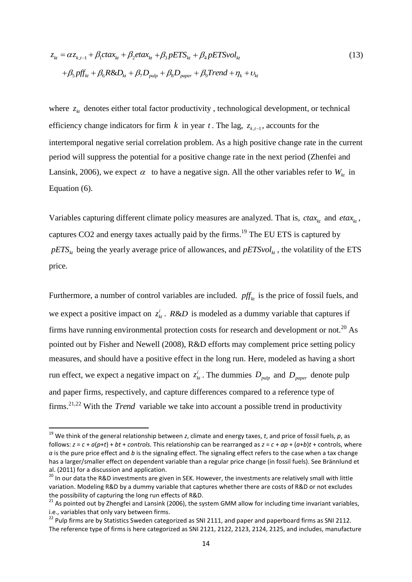$$
z_{kt} = \alpha z_{k,t-1} + \beta_1 ct \alpha x_{kt} + \beta_2 et \alpha x_{kt} + \beta_3 p E T S_{kt} + \beta_4 p E T S \nu o l_{kt}
$$
  
+  $\beta_5 p f f_{kt} + \beta_6 R \& D_{kt} + \beta_7 D_{pulp} + \beta_8 D_{paper} + \beta_9 T rend + \eta_k + v_{kt}$  (13)

where  $z_{kt}$  denotes either total factor productivity, technological development, or technical efficiency change indicators for firm  $k$  in year  $t$ . The lag,  $z_{k,t-1}$ , accounts for the intertemporal negative serial correlation problem. As a high positive change rate in the current period will suppress the potential for a positive change rate in the next period (Zhenfei and Lansink, 2006), we expect  $\alpha$  to have a negative sign. All the other variables refer to  $W_{kt}$  in Equation (6).

Variables capturing different climate policy measures are analyzed. That is,  $ctax_{kt}$  and  $etax_{kt}$ , captures CO2 and energy taxes actually paid by the firms.<sup>19</sup> The EU ETS is captured by  $pETS_{kt}$  being the yearly average price of allowances, and  $pETSvol_{kt}$ , the volatility of the ETS price.

Furthermore, a number of control variables are included.  $pf_{kt}$  is the price of fossil fuels, and we expect a positive impact on  $z_{kt}^i$ . *R&D* is modeled as a dummy variable that captures if firms have running environmental protection costs for research and development or not.<sup>20</sup> As pointed out by Fisher and Newell (2008), R&D efforts may complement price setting policy measures, and should have a positive effect in the long run. Here, modeled as having a short run effect, we expect a negative impact on  $z_{kt}^i$ . The dummies  $D_{pulp}$  and  $D_{paper}$  denote pulp and paper firms, respectively, and capture differences compared to a reference type of firms.<sup>21,22</sup> With the *Trend* variable we take into account a possible trend in productivity

<sup>19</sup> We think of the general relationship between *z*, climate and energy taxes, *t*, and price of fossil fuels, *p*, as follows:  $z = c + a(p+t) + bt + controls$ . This relationship can be rearranged as  $z = c + ap + (a+b)t + controls$ , where *a* is the pure price effect and *b* is the signaling effect. The signaling effect refers to the case when a tax change has a larger/smaller effect on dependent variable than a regular price change (in fossil fuels). See Brännlund et al. (2011) for a discussion and application.

<sup>&</sup>lt;sup>20</sup> In our data the R&D investments are given in SEK. However, the investments are relatively small with little variation. Modeling R&D by a dummy variable that captures whether there are costs of R&D or not excludes the possibility of capturing the long run effects of R&D.

 $^{21}$  As pointed out by Zhengfei and Lansink (2006), the system GMM allow for including time invariant variables, i.e., variables that only vary between firms.

 $^{22}$  Pulp firms are by Statistics Sweden categorized as SNI 2111, and paper and paperboard firms as SNI 2112. The reference type of firms is here categorized as SNI 2121, 2122, 2123, 2124, 2125, and includes, manufacture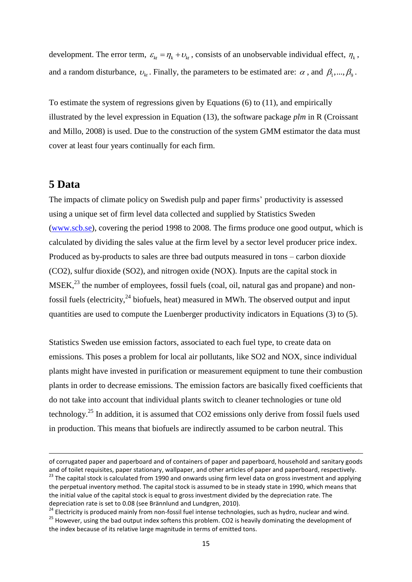development. The error term,  $\varepsilon_{kt} = \eta_k + v_{kt}$ , consists of an unobservable individual effect,  $\eta_k$ , and a random disturbance,  $v_{kt}$ . Finally, the parameters to be estimated are:  $\alpha$ , and  $\beta_1, ..., \beta_9$ .

To estimate the system of regressions given by Equations (6) to (11), and empirically illustrated by the level expression in Equation (13), the software package *plm* in R (Croissant and Millo, 2008) is used. Due to the construction of the system GMM estimator the data must cover at least four years continually for each firm.

### **5 Data**

1

The impacts of climate policy on Swedish pulp and paper firms' productivity is assessed using a unique set of firm level data collected and supplied by Statistics Sweden [\(www.scb.se\)](http://www.scb.se/), covering the period 1998 to 2008. The firms produce one good output, which is calculated by dividing the sales value at the firm level by a sector level producer price index. Produced as by-products to sales are three bad outputs measured in tons – carbon dioxide (CO2), sulfur dioxide (SO2), and nitrogen oxide (NOX). Inputs are the capital stock in  $MSEK<sub>1</sub><sup>23</sup>$  the number of employees, fossil fuels (coal, oil, natural gas and propane) and nonfossil fuels (electricity,  $24$  biofuels, heat) measured in MWh. The observed output and input quantities are used to compute the Luenberger productivity indicators in Equations (3) to (5).

Statistics Sweden use emission factors, associated to each fuel type, to create data on emissions. This poses a problem for local air pollutants, like SO2 and NOX, since individual plants might have invested in purification or measurement equipment to tune their combustion plants in order to decrease emissions. The emission factors are basically fixed coefficients that do not take into account that individual plants switch to cleaner technologies or tune old technology.<sup>25</sup> In addition, it is assumed that  $CO2$  emissions only derive from fossil fuels used in production. This means that biofuels are indirectly assumed to be carbon neutral. This

of corrugated paper and paperboard and of containers of paper and paperboard, household and sanitary goods and of toilet requisites, paper stationary, wallpaper, and other articles of paper and paperboard, respectively.

<sup>&</sup>lt;sup>23</sup> The capital stock is calculated from 1990 and onwards using firm level data on gross investment and applying the perpetual inventory method. The capital stock is assumed to be in steady state in 1990, which means that the initial value of the capital stock is equal to gross investment divided by the depreciation rate. The depreciation rate is set to 0.08 (see Brännlund and Lundgren, 2010).

<sup>&</sup>lt;sup>24</sup> Electricity is produced mainly from non-fossil fuel intense technologies, such as hydro, nuclear and wind. <sup>25</sup> However, using the bad output index softens this problem. CO2 is heavily dominating the development of the index because of its relative large magnitude in terms of emitted tons.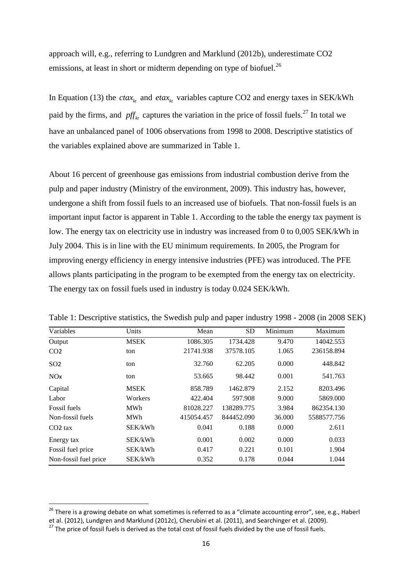approach will, e.g., referring to Lundgren and Marklund (2012b), underestimate CO2 emissions, at least in short or midterm depending on type of biofuel.<sup>26</sup>

In Equation (13) the  $ctax_{kt}$  and  $etax_{kt}$  variables capture CO2 and energy taxes in SEK/kWh paid by the firms, and  $pf_{kt}$  captures the variation in the price of fossil fuels.<sup>27</sup> In total we have an unbalanced panel of 1006 observations from 1998 to 2008. Descriptive statistics of the variables explained above are summarized in Table 1.

About 16 percent of greenhouse gas emissions from industrial combustion derive from the pulp and paper industry (Ministry of the environment, 2009). This industry has, however, undergone a shift from fossil fuels to an increased use of biofuels. That non-fossil fuels is an important input factor is apparent in Table 1. According to the table the energy tax payment is low. The energy tax on electricity use in industry was increased from 0 to 0,005 SEK/kWh in July 2004. This is in line with the EU minimum requirements. In 2005, the Program for improving energy efficiency in energy intensive industries (PFE) was introduced. The PFE allows plants participating in the program to be exempted from the energy tax on electricity. The energy tax on fossil fuels used in industry is today 0.024 SEK/kWh.

| Variables             | Units       | Mean       | <b>SD</b>  | Minimum | Maximum     |
|-----------------------|-------------|------------|------------|---------|-------------|
| Output                | <b>MSEK</b> | 1086.305   | 1734.428   | 9.470   | 14042.553   |
| CO <sub>2</sub>       | ton         | 21741.938  | 37578.105  | 1.065   | 236158.894  |
| SO <sub>2</sub>       | ton         | 32.760     | 62.205     | 0.000   | 448.842     |
| NOx                   | ton         | 53.665     | 98.442     | 0.001   | 541.763     |
| Capital               | <b>MSEK</b> | 858.789    | 1462.879   | 2.152   | 8203.496    |
| Labor                 | Workers     | 422.404    | 597.908    | 9.000   | 5869.000    |
| <b>Fossil fuels</b>   | <b>MWh</b>  | 81028.227  | 138289.775 | 3.984   | 862354.130  |
| Non-fossil fuels      | <b>MWh</b>  | 415054.457 | 844452.090 | 36.000  | 5588577.756 |
| $CO2$ tax             | SEK/kWh     | 0.041      | 0.188      | 0.000   | 2.611       |
| Energy tax            | SEK/kWh     | 0.001      | 0.002      | 0.000   | 0.033       |
| Fossil fuel price     | SEK/kWh     | 0.417      | 0.221      | 0.101   | 1.904       |
| Non-fossil fuel price | SEK/kWh     | 0.352      | 0.178      | 0.044   | 1.044       |

Table 1: Descriptive statistics, the Swedish pulp and paper industry 1998 - 2008 (in 2008 SEK)

<sup>&</sup>lt;sup>26</sup> There is a growing debate on what sometimes is referred to as a "climate accounting error", see, e.g., Haberl et al. (2012), Lundgren and Marklund (2012c), Cherubini et al. (2011), and Searchinger et al. (2009).

<sup>&</sup>lt;sup>27</sup> The price of fossil fuels is derived as the total cost of fossil fuels divided by the use of fossil fuels.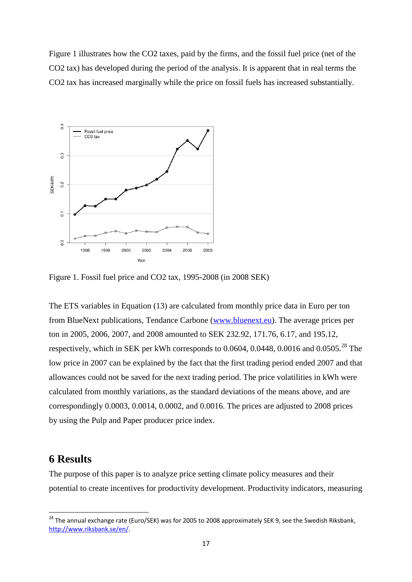Figure 1 illustrates how the CO2 taxes, paid by the firms, and the fossil fuel price (net of the CO2 tax) has developed during the period of the analysis. It is apparent that in real terms the CO2 tax has increased marginally while the price on fossil fuels has increased substantially.



Figure 1. Fossil fuel price and CO2 tax, 1995-2008 (in 2008 SEK)

The ETS variables in Equation (13) are calculated from monthly price data in Euro per ton from BlueNext publications, Tendance Carbone [\(www.bluenext.eu\)](http://www.bluenext.eu/). The average prices per ton in 2005, 2006, 2007, and 2008 amounted to SEK 232.92, 171.76, 6.17, and 195.12, respectively, which in SEK per kWh corresponds to  $0.0604$ ,  $0.0448$ ,  $0.0016$  and  $0.0505$ <sup>28</sup>. The low price in 2007 can be explained by the fact that the first trading period ended 2007 and that allowances could not be saved for the next trading period. The price volatilities in kWh were calculated from monthly variations, as the standard deviations of the means above, and are correspondingly 0.0003, 0.0014, 0.0002, and 0.0016. The prices are adjusted to 2008 prices by using the Pulp and Paper producer price index.

## **6 Results**

1

The purpose of this paper is to analyze price setting climate policy measures and their potential to create incentives for productivity development. Productivity indicators, measuring

<sup>&</sup>lt;sup>28</sup> The annual exchange rate (Euro/SEK) was for 2005 to 2008 approximately SEK 9, see the Swedish Riksbank, [http://www.riksbank.se/en/.](http://www.riksbank.se/en/)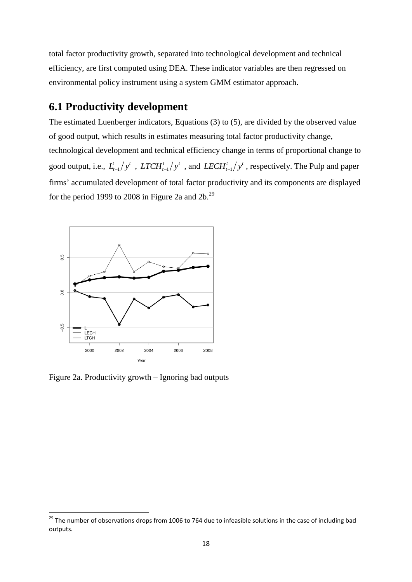total factor productivity growth, separated into technological development and technical efficiency, are first computed using DEA. These indicator variables are then regressed on environmental policy instrument using a system GMM estimator approach.

## **6.1 Productivity development**

The estimated Luenberger indicators, Equations (3) to (5), are divided by the observed value of good output, which results in estimates measuring total factor productivity change, technological development and technical efficiency change in terms of proportional change to good output, i.e.,  $L_{t-1}^t/y^t$ ,  $LTCH_{t-1}^t/y^t$ , and  $LECH_{t-1}^t/y^t$ , respectively. The Pulp and paper firms' accumulated development of total factor productivity and its components are displayed for the period 1999 to 2008 in Figure 2a and  $2b$ .<sup>29</sup>



Figure 2a. Productivity growth – Ignoring bad outputs

1

<sup>&</sup>lt;sup>29</sup> The number of observations drops from 1006 to 764 due to infeasible solutions in the case of including bad outputs.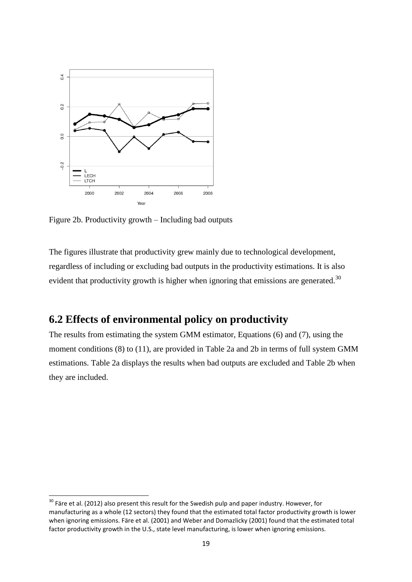

Figure 2b. Productivity growth – Including bad outputs

1

The figures illustrate that productivity grew mainly due to technological development, regardless of including or excluding bad outputs in the productivity estimations. It is also evident that productivity growth is higher when ignoring that emissions are generated.<sup>30</sup>

## **6.2 Effects of environmental policy on productivity**

The results from estimating the system GMM estimator, Equations (6) and (7), using the moment conditions (8) to (11), are provided in Table 2a and 2b in terms of full system GMM estimations. Table 2a displays the results when bad outputs are excluded and Table 2b when they are included.

 $30$  Färe et al. (2012) also present this result for the Swedish pulp and paper industry. However, for manufacturing as a whole (12 sectors) they found that the estimated total factor productivity growth is lower when ignoring emissions. Färe et al. (2001) and Weber and Domazlicky (2001) found that the estimated total factor productivity growth in the U.S., state level manufacturing, is lower when ignoring emissions.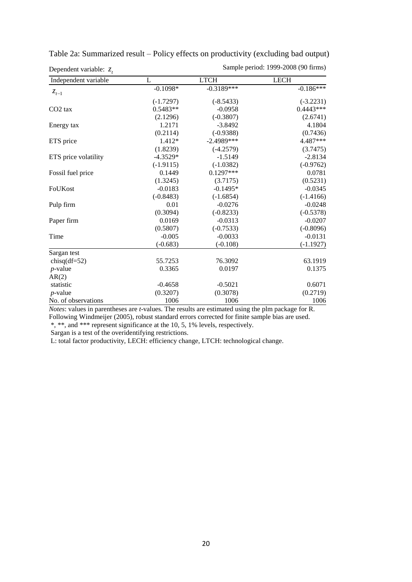| Dependent variable: $z_t$ |             | Sample period: 1999-2008 (90 firms) |             |  |
|---------------------------|-------------|-------------------------------------|-------------|--|
| Independent variable      | L           | <b>LTCH</b>                         | <b>LECH</b> |  |
| $z_{t-1}$                 | $-0.1098*$  | $-0.3189***$                        | $-0.186***$ |  |
|                           | $(-1.7297)$ | $(-8.5433)$                         | $(-3.2231)$ |  |
| $CO2$ tax                 | $0.5483**$  | $-0.0958$                           | $0.4443***$ |  |
|                           | (2.1296)    | $(-0.3807)$                         | (2.6741)    |  |
| Energy tax                | 1.2171      | $-3.8492$                           | 4.1804      |  |
|                           | (0.2114)    | $(-0.9388)$                         | (0.7436)    |  |
| ETS price                 | 1.412*      | $-2.4989***$                        | 4.487***    |  |
|                           | (1.8239)    | $(-4.2579)$                         | (3.7475)    |  |
| ETS price volatility      | $-4.3529*$  | $-1.5149$                           | $-2.8134$   |  |
|                           | $(-1.9115)$ | $(-1.0382)$                         | $(-0.9762)$ |  |
| Fossil fuel price         | 0.1449      | $0.1297***$                         | 0.0781      |  |
|                           | (1.3245)    | (3.7175)                            | (0.5231)    |  |
| FoUKost                   | $-0.0183$   | $-0.1495*$                          | $-0.0345$   |  |
|                           | $(-0.8483)$ | $(-1.6854)$                         | $(-1.4166)$ |  |
| Pulp firm                 | 0.01        | $-0.0276$                           | $-0.0248$   |  |
|                           | (0.3094)    | $(-0.8233)$                         | $(-0.5378)$ |  |
| Paper firm                | 0.0169      | $-0.0313$                           | $-0.0207$   |  |
|                           | (0.5807)    | $(-0.7533)$                         | $(-0.8096)$ |  |
| Time                      | $-0.005$    | $-0.0033$                           | $-0.0131$   |  |
|                           | $(-0.683)$  | $(-0.108)$                          | $(-1.1927)$ |  |
| Sargan test               |             |                                     |             |  |
| chisq $(df=52)$           | 55.7253     | 76.3092                             | 63.1919     |  |
| $p$ -value                | 0.3365      | 0.0197                              | 0.1375      |  |
| AR(2)                     |             |                                     |             |  |
| statistic                 | $-0.4658$   | $-0.5021$                           | 0.6071      |  |
| $p$ -value                | (0.3207)    | (0.3078)                            | (0.2719)    |  |
| No. of observations       | 1006        | 1006                                | 1006        |  |

| Table 2a: Summarized result – Policy effects on productivity (excluding bad output) |  |  |  |  |
|-------------------------------------------------------------------------------------|--|--|--|--|
|-------------------------------------------------------------------------------------|--|--|--|--|

*Notes*: values in parentheses are *t*-values. The results are estimated using the plm package for R.

Following Windmeijer (2005), robust standard errors corrected for finite sample bias are used.

\*, \*\*, and \*\*\* represent significance at the 10, 5, 1% levels, respectively.

Sargan is a test of the overidentifying restrictions.

L: total factor productivity, LECH: efficiency change, LTCH: technological change.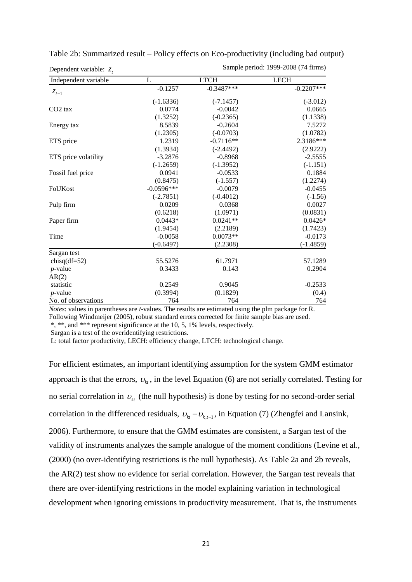| Dependent variable: $z_t$ |              | Sample period: 1999-2008 (74 firms) |              |  |
|---------------------------|--------------|-------------------------------------|--------------|--|
| Independent variable      | L            | <b>LTCH</b>                         | <b>LECH</b>  |  |
| $z_{t-1}$                 | $-0.1257$    | $-0.3487***$                        | $-0.2207***$ |  |
|                           | $(-1.6336)$  | $(-7.1457)$                         | $(-3.012)$   |  |
| $CO2$ tax                 | 0.0774       | $-0.0042$                           | 0.0665       |  |
|                           | (1.3252)     | $(-0.2365)$                         | (1.1338)     |  |
| Energy tax                | 8.5839       | $-0.2604$                           | 7.5272       |  |
|                           | (1.2305)     | $(-0.0703)$                         | (1.0782)     |  |
| ETS price                 | 1.2319       | $-0.7116**$                         | 2.3186***    |  |
|                           | (1.3934)     | $(-2.4492)$                         | (2.9222)     |  |
| ETS price volatility      | $-3.2876$    | $-0.8968$                           | $-2.5555$    |  |
|                           | $(-1.2659)$  | $(-1.3952)$                         | $(-1.151)$   |  |
| Fossil fuel price         | 0.0941       | $-0.0533$                           | 0.1884       |  |
|                           | (0.8475)     | $(-1.557)$                          | (1.2274)     |  |
| FoUKost                   | $-0.0596***$ | $-0.0079$                           | $-0.0455$    |  |
|                           | $(-2.7851)$  | $(-0.4012)$                         | $(-1.56)$    |  |
| Pulp firm                 | 0.0209       | 0.0368                              | 0.0027       |  |
|                           | (0.6218)     | (1.0971)                            | (0.0831)     |  |
| Paper firm                | $0.0443*$    | $0.0241**$                          | $0.0426*$    |  |
|                           | (1.9454)     | (2.2189)                            | (1.7423)     |  |
| Time                      | $-0.0058$    | $0.0073**$                          | $-0.0173$    |  |
|                           | $(-0.6497)$  | (2.2308)                            | $(-1.4859)$  |  |
| Sargan test               |              |                                     |              |  |
| chisq $(df=52)$           | 55.5276      | 61.7971                             | 57.1289      |  |
| $p$ -value                | 0.3433       | 0.143                               | 0.2904       |  |
| AR(2)                     |              |                                     |              |  |
| statistic                 | 0.2549       | 0.9045                              | $-0.2533$    |  |
| $p$ -value                | (0.3994)     | (0.1829)                            | (0.4)        |  |
| No. of observations       | 764          | 764                                 | 764          |  |

Table 2b: Summarized result – Policy effects on Eco-productivity (including bad output)

*Notes*: values in parentheses are *t*-values. The results are estimated using the plm package for R.

Following Windmeijer (2005), robust standard errors corrected for finite sample bias are used.

\*, \*\*, and \*\*\* represent significance at the 10, 5, 1% levels, respectively.

Sargan is a test of the overidentifying restrictions.

L: total factor productivity, LECH: efficiency change, LTCH: technological change.

For efficient estimates, an important identifying assumption for the system GMM estimator approach is that the errors,  $v_{kt}$ , in the level Equation (6) are not serially correlated. Testing for no serial correlation in  $v_{kt}$  (the null hypothesis) is done by testing for no second-order serial correlation in the differenced residuals,  $v_{kt} - v_{kt-1}$ , in Equation (7) (Zhengfei and Lansink, 2006). Furthermore, to ensure that the GMM estimates are consistent, a Sargan test of the validity of instruments analyzes the sample analogue of the moment conditions (Levine et al., (2000) (no over-identifying restrictions is the null hypothesis). As Table 2a and 2b reveals, the AR(2) test show no evidence for serial correlation. However, the Sargan test reveals that there are over-identifying restrictions in the model explaining variation in technological development when ignoring emissions in productivity measurement. That is, the instruments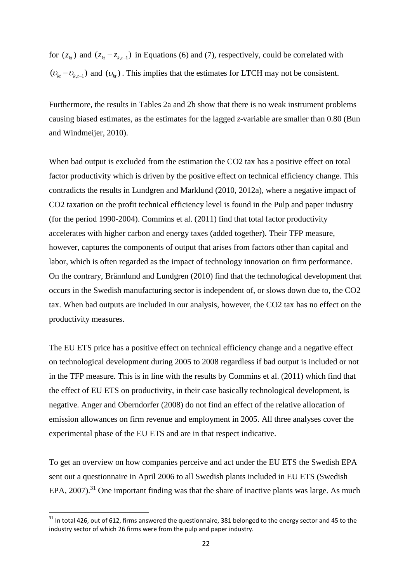for  $(z_{kt})$  and  $(z_{kt} - z_{k,t-1})$  in Equations (6) and (7), respectively, could be correlated with  $(v_{kt} - v_{k,t-1})$  and  $(v_{kt})$ . This implies that the estimates for LTCH may not be consistent.

Furthermore, the results in Tables 2a and 2b show that there is no weak instrument problems causing biased estimates, as the estimates for the lagged *z*-variable are smaller than 0.80 (Bun and Windmeijer, 2010).

When bad output is excluded from the estimation the CO2 tax has a positive effect on total factor productivity which is driven by the positive effect on technical efficiency change. This contradicts the results in Lundgren and Marklund (2010, 2012a), where a negative impact of CO2 taxation on the profit technical efficiency level is found in the Pulp and paper industry (for the period 1990-2004). Commins et al. (2011) find that total factor productivity accelerates with higher carbon and energy taxes (added together). Their TFP measure, however, captures the components of output that arises from factors other than capital and labor, which is often regarded as the impact of technology innovation on firm performance. On the contrary, Brännlund and Lundgren (2010) find that the technological development that occurs in the Swedish manufacturing sector is independent of, or slows down due to, the CO2 tax. When bad outputs are included in our analysis, however, the CO2 tax has no effect on the productivity measures.

The EU ETS price has a positive effect on technical efficiency change and a negative effect on technological development during 2005 to 2008 regardless if bad output is included or not in the TFP measure. This is in line with the results by Commins et al. (2011) which find that the effect of EU ETS on productivity, in their case basically technological development, is negative. Anger and Oberndorfer (2008) do not find an effect of the relative allocation of emission allowances on firm revenue and employment in 2005. All three analyses cover the experimental phase of the EU ETS and are in that respect indicative.

To get an overview on how companies perceive and act under the EU ETS the Swedish EPA sent out a questionnaire in April 2006 to all Swedish plants included in EU ETS (Swedish EPA,  $2007$ ).<sup>31</sup> One important finding was that the share of inactive plants was large. As much

1

 $31$  In total 426, out of 612, firms answered the questionnaire, 381 belonged to the energy sector and 45 to the industry sector of which 26 firms were from the pulp and paper industry.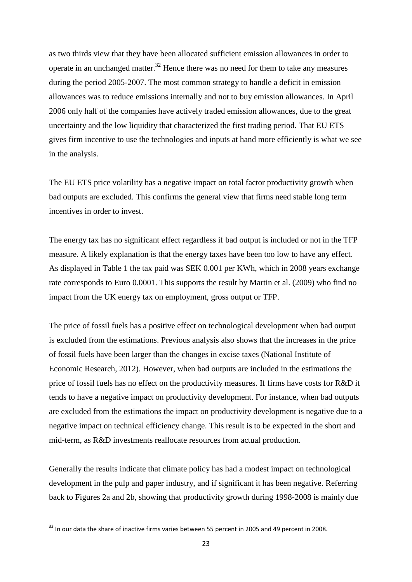as two thirds view that they have been allocated sufficient emission allowances in order to operate in an unchanged matter.<sup>32</sup> Hence there was no need for them to take any measures during the period 2005-2007. The most common strategy to handle a deficit in emission allowances was to reduce emissions internally and not to buy emission allowances. In April 2006 only half of the companies have actively traded emission allowances, due to the great uncertainty and the low liquidity that characterized the first trading period. That EU ETS gives firm incentive to use the technologies and inputs at hand more efficiently is what we see in the analysis.

The EU ETS price volatility has a negative impact on total factor productivity growth when bad outputs are excluded. This confirms the general view that firms need stable long term incentives in order to invest.

The energy tax has no significant effect regardless if bad output is included or not in the TFP measure. A likely explanation is that the energy taxes have been too low to have any effect. As displayed in Table 1 the tax paid was SEK 0.001 per KWh, which in 2008 years exchange rate corresponds to Euro 0.0001. This supports the result by Martin et al. (2009) who find no impact from the UK energy tax on employment, gross output or TFP.

The price of fossil fuels has a positive effect on technological development when bad output is excluded from the estimations. Previous analysis also shows that the increases in the price of fossil fuels have been larger than the changes in excise taxes (National Institute of Economic Research, 2012). However, when bad outputs are included in the estimations the price of fossil fuels has no effect on the productivity measures. If firms have costs for R&D it tends to have a negative impact on productivity development. For instance, when bad outputs are excluded from the estimations the impact on productivity development is negative due to a negative impact on technical efficiency change. This result is to be expected in the short and mid-term, as R&D investments reallocate resources from actual production.

Generally the results indicate that climate policy has had a modest impact on technological development in the pulp and paper industry, and if significant it has been negative. Referring back to Figures 2a and 2b, showing that productivity growth during 1998-2008 is mainly due

 $32$  In our data the share of inactive firms varies between 55 percent in 2005 and 49 percent in 2008.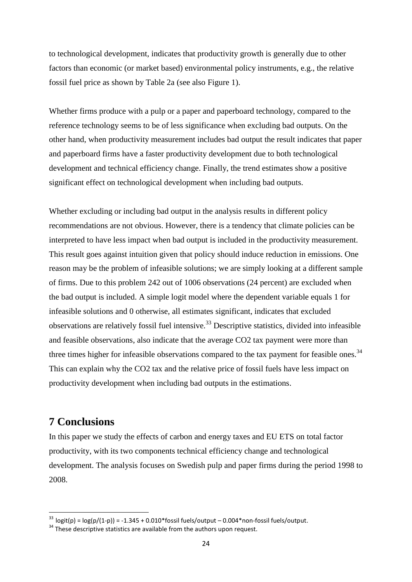to technological development, indicates that productivity growth is generally due to other factors than economic (or market based) environmental policy instruments, e.g., the relative fossil fuel price as shown by Table 2a (see also Figure 1).

Whether firms produce with a pulp or a paper and paperboard technology, compared to the reference technology seems to be of less significance when excluding bad outputs. On the other hand, when productivity measurement includes bad output the result indicates that paper and paperboard firms have a faster productivity development due to both technological development and technical efficiency change. Finally, the trend estimates show a positive significant effect on technological development when including bad outputs.

Whether excluding or including bad output in the analysis results in different policy recommendations are not obvious. However, there is a tendency that climate policies can be interpreted to have less impact when bad output is included in the productivity measurement. This result goes against intuition given that policy should induce reduction in emissions. One reason may be the problem of infeasible solutions; we are simply looking at a different sample of firms. Due to this problem 242 out of 1006 observations (24 percent) are excluded when the bad output is included. A simple logit model where the dependent variable equals 1 for infeasible solutions and 0 otherwise, all estimates significant, indicates that excluded observations are relatively fossil fuel intensive.<sup>33</sup> Descriptive statistics, divided into infeasible and feasible observations, also indicate that the average CO2 tax payment were more than three times higher for infeasible observations compared to the tax payment for feasible ones.<sup>34</sup> This can explain why the CO2 tax and the relative price of fossil fuels have less impact on productivity development when including bad outputs in the estimations.

## **7 Conclusions**

1

In this paper we study the effects of carbon and energy taxes and EU ETS on total factor productivity, with its two components technical efficiency change and technological development. The analysis focuses on Swedish pulp and paper firms during the period 1998 to 2008.

 $^{33}$  logit(p) = log(p/(1-p)) = -1.345 + 0.010\*fossil fuels/output – 0.004\*non-fossil fuels/output.

 $34$  These descriptive statistics are available from the authors upon request.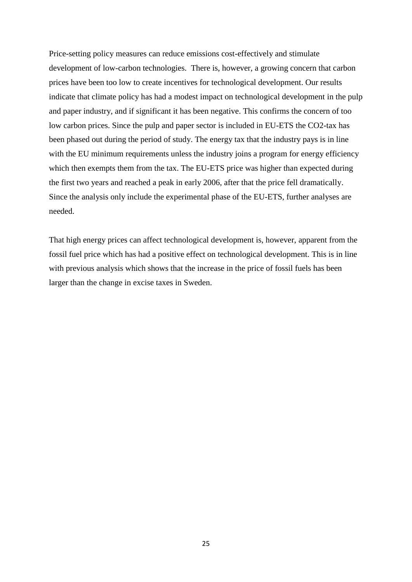Price-setting policy measures can reduce emissions cost-effectively and stimulate development of low-carbon technologies. There is, however, a growing concern that carbon prices have been too low to create incentives for technological development. Our results indicate that climate policy has had a modest impact on technological development in the pulp and paper industry, and if significant it has been negative. This confirms the concern of too low carbon prices. Since the pulp and paper sector is included in EU-ETS the CO2-tax has been phased out during the period of study. The energy tax that the industry pays is in line with the EU minimum requirements unless the industry joins a program for energy efficiency which then exempts them from the tax. The EU-ETS price was higher than expected during the first two years and reached a peak in early 2006, after that the price fell dramatically. Since the analysis only include the experimental phase of the EU-ETS, further analyses are needed.

That high energy prices can affect technological development is, however, apparent from the fossil fuel price which has had a positive effect on technological development. This is in line with previous analysis which shows that the increase in the price of fossil fuels has been larger than the change in excise taxes in Sweden.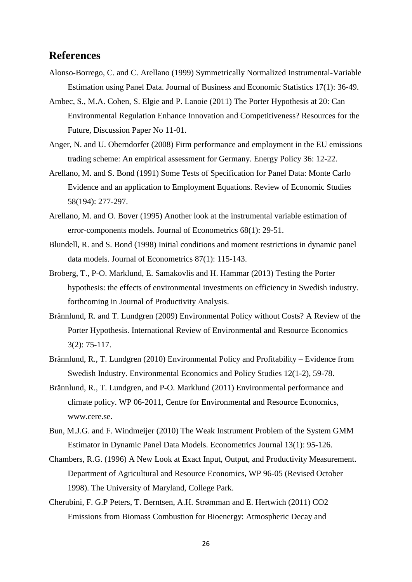### **References**

- Alonso-Borrego, C. and C. Arellano (1999) Symmetrically Normalized Instrumental-Variable Estimation using Panel Data. Journal of Business and Economic Statistics 17(1): 36-49.
- Ambec, S., M.A. Cohen, S. Elgie and P. Lanoie (2011) The Porter Hypothesis at 20: Can Environmental Regulation Enhance Innovation and Competitiveness? Resources for the Future, Discussion Paper No 11-01.
- Anger, N. and U. Oberndorfer (2008) Firm performance and employment in the EU emissions trading scheme: An empirical assessment for Germany. Energy Policy 36: 12-22.
- Arellano, M. and S. Bond (1991) Some Tests of Specification for Panel Data: Monte Carlo Evidence and an application to Employment Equations. Review of Economic Studies 58(194): 277-297.
- Arellano, M. and O. Bover (1995) Another look at the instrumental variable estimation of error-components models. Journal of Econometrics 68(1): 29-51.
- Blundell, R. and S. Bond (1998) Initial conditions and moment restrictions in dynamic panel data models. Journal of Econometrics 87(1): 115-143.
- Broberg, T., P-O. Marklund, E. Samakovlis and H. Hammar (2013) Testing the Porter hypothesis: the effects of environmental investments on efficiency in Swedish industry. forthcoming in Journal of Productivity Analysis.
- Brännlund, R. and T. Lundgren (2009) Environmental Policy without Costs? A Review of the Porter Hypothesis. International Review of Environmental and Resource Economics 3(2): 75-117.
- Brännlund, R., T. Lundgren (2010) Environmental Policy and Profitability Evidence from Swedish Industry. Environmental Economics and Policy Studies 12(1-2), 59-78.
- Brännlund, R., T. Lundgren, and P-O. Marklund (2011) Environmental performance and climate policy. WP 06-2011, Centre for Environmental and Resource Economics, www.cere.se.
- Bun, M.J.G. and F. Windmeijer (2010) The Weak Instrument Problem of the System GMM Estimator in Dynamic Panel Data Models. Econometrics Journal 13(1): 95-126.
- Chambers, R.G. (1996) A New Look at Exact Input, Output, and Productivity Measurement. Department of Agricultural and Resource Economics, WP 96-05 (Revised October 1998). The University of Maryland, College Park.
- Cherubini, F. G.P Peters, T. Berntsen, A.H. Strømman and E. Hertwich (2011) CO2 Emissions from Biomass Combustion for Bioenergy: Atmospheric Decay and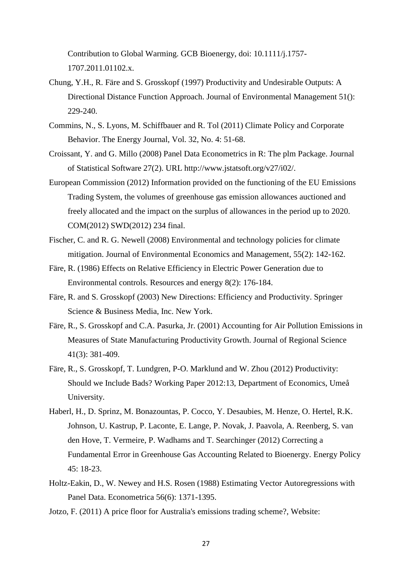Contribution to Global Warming. GCB Bioenergy, doi: 10.1111/j.1757- 1707.2011.01102.x.

- Chung, Y.H., R. Färe and S. Grosskopf (1997) Productivity and Undesirable Outputs: A Directional Distance Function Approach. Journal of Environmental Management 51(): 229-240.
- Commins, N., S. Lyons, M. Schiffbauer and R. Tol (2011) Climate Policy and Corporate Behavior. The Energy Journal, Vol. 32, No. 4: 51-68.
- Croissant, Y. and G. Millo (2008) Panel Data Econometrics in R: The plm Package. Journal of Statistical Software 27(2). URL http://www.jstatsoft.org/v27/i02/.
- European Commission (2012) Information provided on the functioning of the EU Emissions Trading System, the volumes of greenhouse gas emission allowances auctioned and freely allocated and the impact on the surplus of allowances in the period up to 2020. COM(2012) SWD(2012) 234 final.
- Fischer, C. and R. G. Newell (2008) Environmental and technology policies for climate mitigation. Journal of Environmental Economics and Management, 55(2): 142-162.
- Färe, R. (1986) Effects on Relative Efficiency in Electric Power Generation due to Environmental controls. Resources and energy 8(2): 176-184.
- Färe, R. and S. Grosskopf (2003) New Directions: Efficiency and Productivity. Springer Science & Business Media, Inc. New York.
- Färe, R., S. Grosskopf and C.A. Pasurka, Jr. (2001) Accounting for Air Pollution Emissions in Measures of State Manufacturing Productivity Growth. Journal of Regional Science 41(3): 381-409.
- Färe, R., S. Grosskopf, T. Lundgren, P-O. Marklund and W. Zhou (2012) Productivity: Should we Include Bads? Working Paper 2012:13, Department of Economics, Umeå University.
- Haberl, H., D. Sprinz, M. Bonazountas, P. Cocco, Y. Desaubies, M. Henze, O. Hertel, R.K. Johnson, U. Kastrup, P. Laconte, E. Lange, P. Novak, J. Paavola, A. Reenberg, S. van den Hove, T. Vermeire, P. Wadhams and T. Searchinger (2012) Correcting a Fundamental Error in Greenhouse Gas Accounting Related to Bioenergy. Energy Policy 45: 18-23.
- Holtz-Eakin, D., W. Newey and H.S. Rosen (1988) Estimating Vector Autoregressions with Panel Data. Econometrica 56(6): 1371-1395.
- Jotzo, F. (2011) A price floor for Australia's emissions trading scheme?, Website: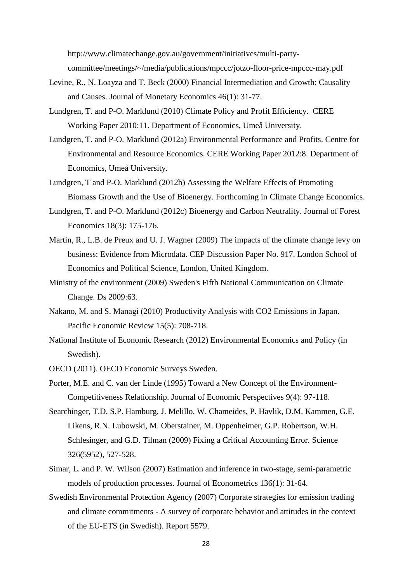http://www.climatechange.gov.au/government/initiatives/multi-party-

committee/meetings/~/media/publications/mpccc/jotzo-floor-price-mpccc-may.pdf

- Levine, R., N. Loayza and T. Beck (2000) Financial Intermediation and Growth: Causality and Causes. Journal of Monetary Economics 46(1): 31-77.
- Lundgren, T. and P-O. Marklund (2010) Climate Policy and Profit Efficiency. CERE Working Paper 2010:11. Department of Economics, Umeå University.
- Lundgren, T. and P-O. Marklund (2012a) Environmental Performance and Profits. Centre for Environmental and Resource Economics. CERE Working Paper 2012:8. Department of Economics, Umeå University.
- Lundgren, T and P-O. Marklund (2012b) Assessing the Welfare Effects of Promoting Biomass Growth and the Use of Bioenergy. Forthcoming in Climate Change Economics.
- Lundgren, T. and P-O. Marklund (2012c) Bioenergy and Carbon Neutrality. Journal of Forest Economics 18(3): 175-176.
- Martin, R., L.B. de Preux and U. J. Wagner (2009) The impacts of the climate change levy on business: Evidence from Microdata. CEP Discussion Paper No. 917. London School of Economics and Political Science, London, United Kingdom.
- Ministry of the environment (2009) Sweden's Fifth National Communication on Climate Change. Ds 2009:63.
- Nakano, M. and S. Managi (2010) Productivity Analysis with CO2 Emissions in Japan. Pacific Economic Review 15(5): 708-718.
- National Institute of Economic Research (2012) Environmental Economics and Policy (in Swedish).
- OECD (2011). OECD Economic Surveys Sweden.
- Porter, M.E. and C. van der Linde (1995) Toward a New Concept of the Environment-Competitiveness Relationship. Journal of Economic Perspectives 9(4): 97-118.
- Searchinger, T.D, S.P. Hamburg, J. Melillo, W. Chameides, P. Havlik, D.M. Kammen, G.E. Likens, R.N. Lubowski, M. Oberstainer, M. Oppenheimer, G.P. Robertson, W.H. Schlesinger, and G.D. Tilman (2009) Fixing a Critical Accounting Error. Science 326(5952), 527-528.
- Simar, L. and P. W. Wilson (2007) Estimation and inference in two-stage, semi-parametric models of production processes. Journal of Econometrics 136(1): 31-64.
- Swedish Environmental Protection Agency (2007) Corporate strategies for emission trading and climate commitments - A survey of corporate behavior and attitudes in the context of the EU-ETS (in Swedish). Report 5579.